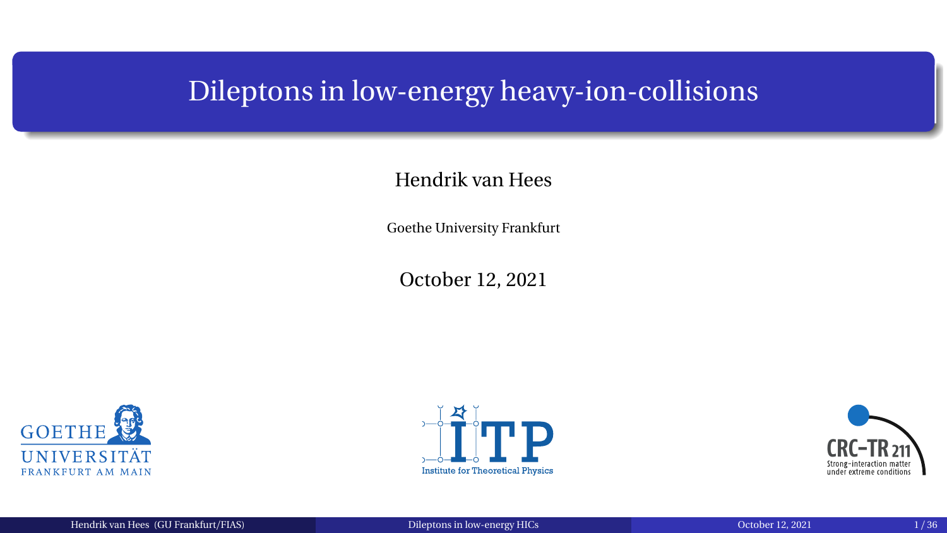### <span id="page-0-0"></span>Dileptons in low-energy heavy-ion-collisions

#### Hendrik van Hees

Goethe University Frankfurt

October 12, 2021





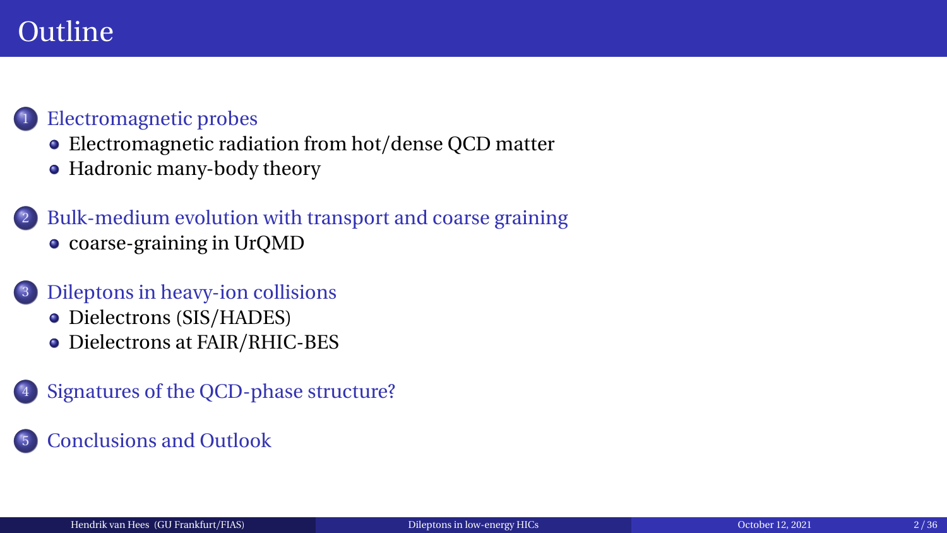## **Outline**

#### [Electromagnetic probes](#page-2-0)

- [Electromagnetic radiation from hot](#page-4-0)/dense QCD matter
- [Hadronic many-body theory](#page-7-0)

#### [Bulk-medium evolution with transport and coarse graining](#page-13-0) • coarse-graining in UrOMD

#### <sup>3</sup> [Dileptons in heavy-ion collisions](#page-18-0)

- [Dielectrons \(SIS](#page-18-0)/HADES)
- [Dielectrons at FAIR](#page-27-0)/RHIC-BES
- [Signatures of the QCD-phase structure?](#page-30-0)

#### <sup>5</sup> [Conclusions and Outlook](#page-36-0)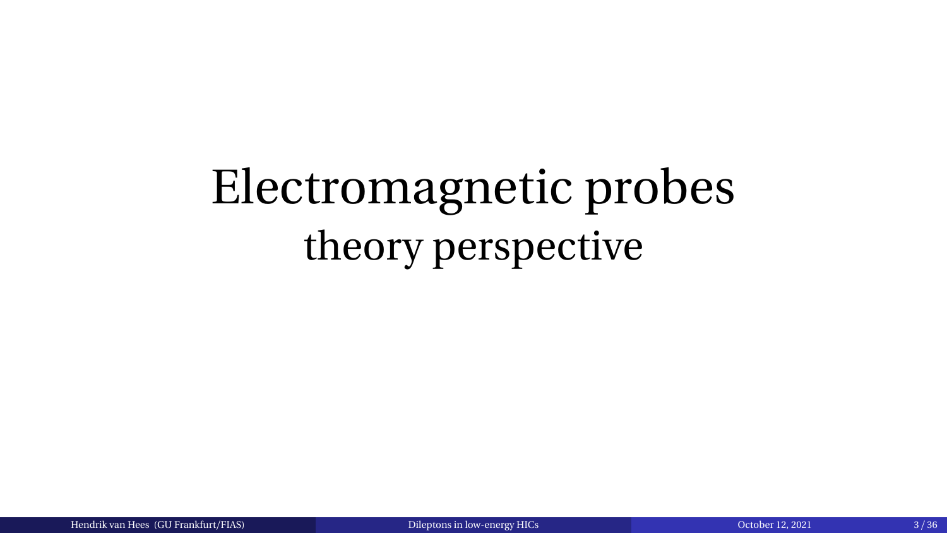# <span id="page-2-0"></span>Electromagnetic probes theory perspective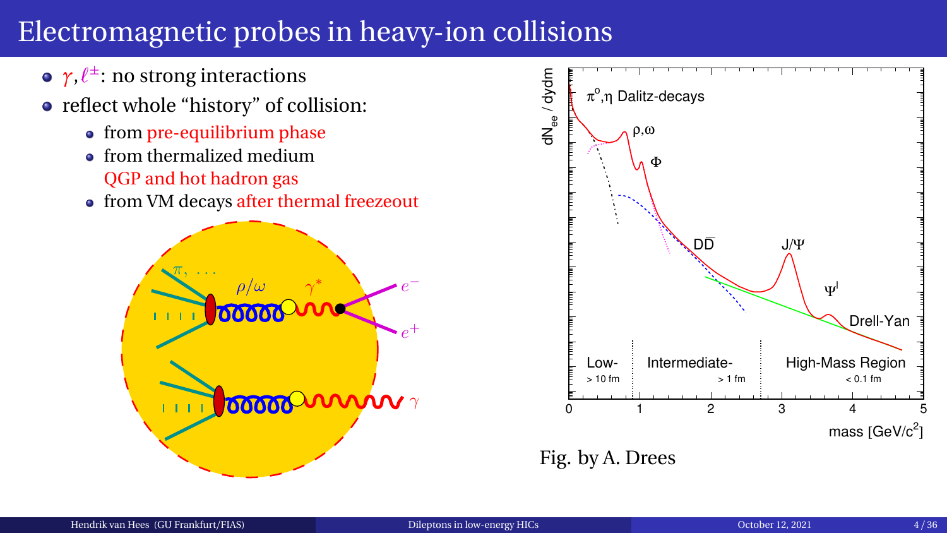# Electromagnetic probes in heavy-ion collisions

- *γ*,*ℓ* ± : no strong interactions
- reflect whole "history" of collision:
	- from pre-equilibrium phase
	- **•** from thermalized medium QGP and hot hadron gas
	- from VM decays after thermal freezeout



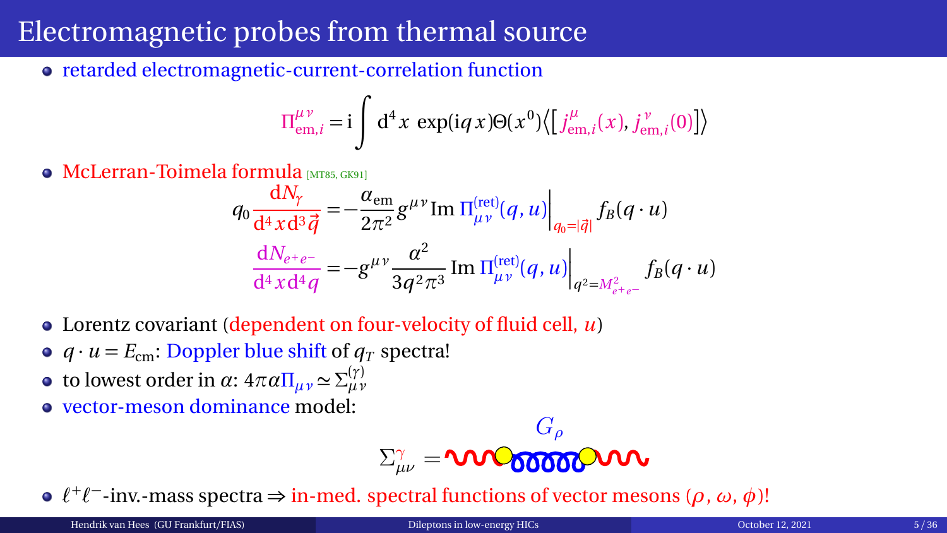## <span id="page-4-0"></span>Electromagnetic probes from thermal source

retarded electromagnetic-current-correlation function

$$
\Pi^{\mu\nu}_{em,i} = i \int d^4x \, \exp(iqx) \Theta(x^0) \langle \left[j^{\mu}_{em,i}(x), j^{\nu}_{em,i}(0)\right] \rangle
$$

• McLerran-Toimela formula [[MT85,](#page-39-0) [GK91](#page-38-0)]

$$
q_0 \frac{dN_{\gamma}}{d^4x d^3 \vec{q}} = -\frac{\alpha_{\text{em}}}{2\pi^2} g^{\mu\nu} \text{Im } \Pi_{\mu\nu}^{(\text{ret})}(q, u) \Big|_{q_0 = |\vec{q}|} f_B(q \cdot u)
$$

$$
\frac{dN_{e^+e^-}}{d^4x d^4 q} = -g^{\mu\nu} \frac{\alpha^2}{3q^2 \pi^3} \text{Im } \Pi_{\mu\nu}^{(\text{ret})}(q, u) \Big|_{q^2 = M_{e^+e^-}^2} f_B(q \cdot u)
$$

- Lorentz covariant (dependent on four-velocity of fluid cell, *u*)
- $q \cdot u = E_{cm}$ : Doppler blue shift of  $q_T$  spectra!
- *t* o lowest order in *α*:  $4πα\Pi_{μν} ≈ Σ^{(γ)}_{μν}$
- vector-meson dominance model:

$$
\Sigma^{\gamma}_{\mu\nu}=\pmb{\text{vol}}_{\pmb{0}\pmb{0}\pmb{0}\pmb{0}\pmb{0}}^{\qmb{G}_{\rho}}\pmb{\text{vol}}
$$

*ℓ* + *ℓ* − -inv.-mass spectra ⇒ in-med. spectral functions of vector mesons (*ρ*, *ω*, *φ*)!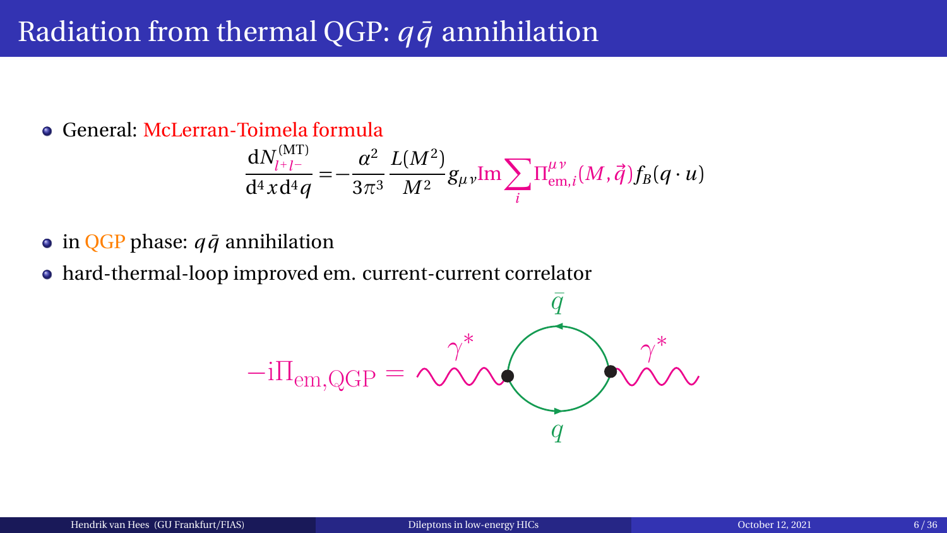#### Radiation from thermal QGP:  $q\bar{q}$  annihilation

General: McLerran-Toimela formula

$$
\frac{\mathrm{d} N^{(\rm MT)}_{l+l-}}{\mathrm{d}^4x \mathrm{d}^4q} = -\frac{\alpha^2}{3\pi^3} \frac{L(M^2)}{M^2} g_{\mu\nu} \text{Im} \sum_i \Pi^{\mu\nu}_{\rm em,i}(M,\vec{q}) f_B(q\cdot u)
$$

- $\bullet$  in QGP phase:  $q\bar{q}$  annihilation
- hard-thermal-loop improved em. current-current correlator

$$
-i\Pi_{em,QGP} = \underbrace{\gamma^*}_{q} \underbrace{\bar{q}}_{q} \qquad \qquad \gamma^*_{\text{max}}
$$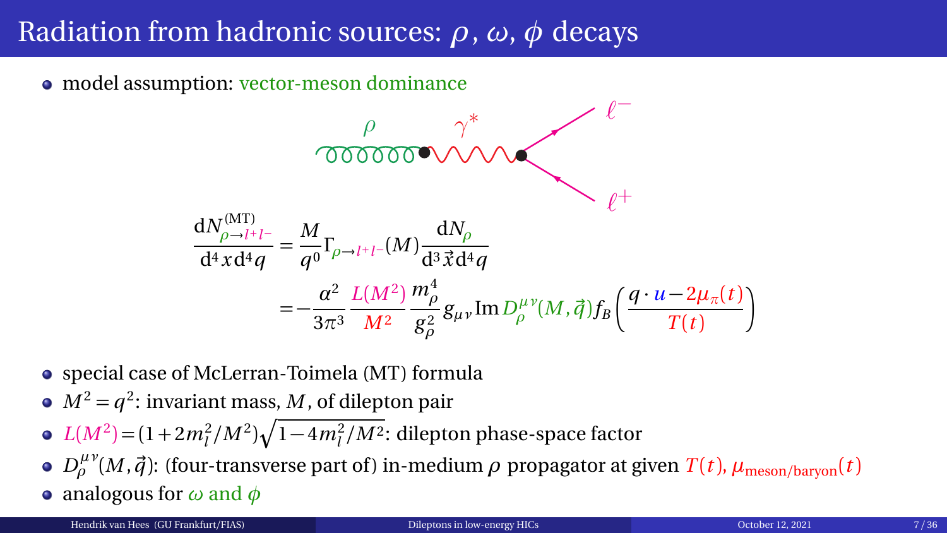# Radiation from hadronic sources: *ρ*, *ω*, *φ* decays

• model assumption: vector-meson dominance

$$
\rho \gamma^*
$$
\n
$$
\gamma^*
$$
\n
$$
\gamma^*
$$
\n
$$
\gamma^*
$$
\n
$$
\gamma^*
$$
\n
$$
\gamma^*
$$
\n
$$
\gamma^*
$$
\n
$$
\gamma^*
$$
\n
$$
\gamma^*
$$
\n
$$
\gamma^*
$$
\n
$$
\gamma^*
$$
\n
$$
\gamma^*
$$
\n
$$
\gamma^*
$$
\n
$$
\gamma^*
$$
\n
$$
\gamma^*
$$
\n
$$
\gamma^*
$$
\n
$$
\gamma^*
$$
\n
$$
\gamma^*
$$
\n
$$
\gamma^*
$$
\n
$$
\gamma^*
$$
\n
$$
\gamma^*
$$
\n
$$
\gamma^*
$$
\n
$$
\gamma^*
$$
\n
$$
\gamma^*
$$
\n
$$
\gamma^*
$$
\n
$$
\gamma^*
$$
\n
$$
\gamma^*
$$
\n
$$
\gamma^*
$$
\n
$$
\gamma^*
$$
\n
$$
\gamma^*
$$
\n
$$
\gamma^*
$$
\n
$$
\gamma^*
$$
\n
$$
\gamma^*
$$
\n
$$
\gamma^*
$$
\n
$$
\gamma^*
$$
\n
$$
\gamma^*
$$
\n
$$
\gamma^*
$$
\n
$$
\gamma^*
$$
\n
$$
\gamma^*
$$
\n
$$
\gamma^*
$$
\n
$$
\gamma^*
$$
\n
$$
\gamma^*
$$
\n
$$
\gamma^*
$$
\n
$$
\gamma^*
$$
\n
$$
\gamma^*
$$
\n
$$
\gamma^*
$$
\n
$$
\gamma^*
$$
\n
$$
\gamma^*
$$
\n
$$
\gamma^*
$$
\n
$$
\gamma^*
$$
\n
$$
\gamma^*
$$
\n
$$
\gamma^*
$$
\n
$$
\gamma^*
$$
\n
$$
\gamma^*
$$
\n
$$
\gamma^*
$$
\n
$$
\gamma^*
$$
\n
$$
\gamma^*
$$
\n
$$
\gamma^*
$$
\n
$$
\gamma^*
$$
\n
$$
\gamma^*
$$
\n
$$
\gamma^*
$$
\n
$$
\gamma^*
$$
\n
$$
\gamma^*
$$
\n
$$
\gamma
$$

- special case of McLerran-Toimela (MT) formula
- $M^2 = q^2$ : invariant mass, *M*, of dilepton pair
- $L(M^2) = (1 + 2m_l^2/M^2)\sqrt{1 4m_l^2/M^2}$ : dilepton phase-space factor
- *D*<sup>μν</sup>(*M*,  $\vec{q}$ ): (four-transverse part of) in-medium *ρ* propagator at given *T*(*t*), *µ*<sub>meson/baryon(*t*)</sub>
- analogous for *ω* and *φ*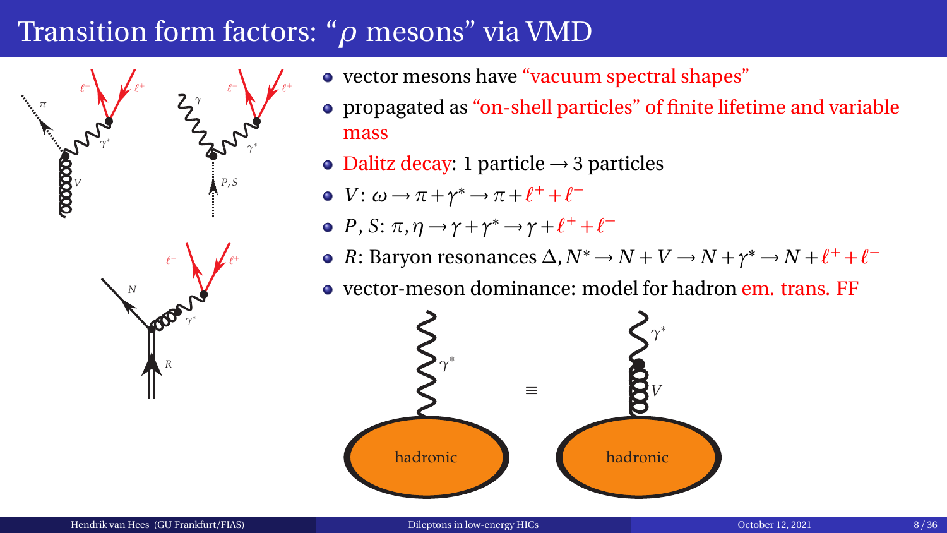## <span id="page-7-0"></span>Transition form factors: "*ρ* mesons" via VMD



- vector mesons have "vacuum spectral shapes"
- propagated as "on-shell particles" of finite lifetime and variable mass
- Dalitz decay: 1 particle  $\rightarrow$  3 particles
- *V*:  $ω \rightarrow π + γ^* \rightarrow π + l^+ + l^-$
- *P*, *S*:  $\pi$ ,  $\eta \rightarrow \gamma + \gamma^* \rightarrow \gamma + \ell^+ + \ell^-$
- *R*: Baryon resonances  $\Delta$ ,  $N^* \to N + V \to N + \gamma^* \to N + \ell^+ + \ell^-$
- vector-meson dominance: model for hadron em. trans. FF

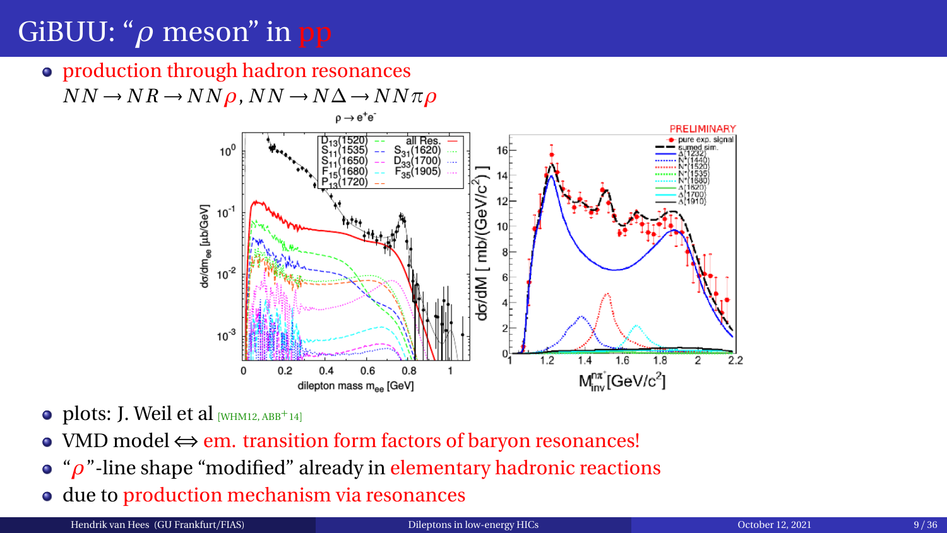# GiBUU: "*ρ* meson" in pp

• production through hadron resonances

 $NN \rightarrow NR \rightarrow NN \rho$ ,  $NN \rightarrow N \Delta \rightarrow NN \pi \rho$ 



- $\bullet$  plots: J. Weil et al [[WHM12,](#page-40-1) [ABB](#page-37-0)<sup>+</sup>14]
- VMD model ⇔ em. transition form factors of baryon resonances!
- "*ρ*"-line shape "modified" already in elementary hadronic reactions
- due to production mechanism via resonances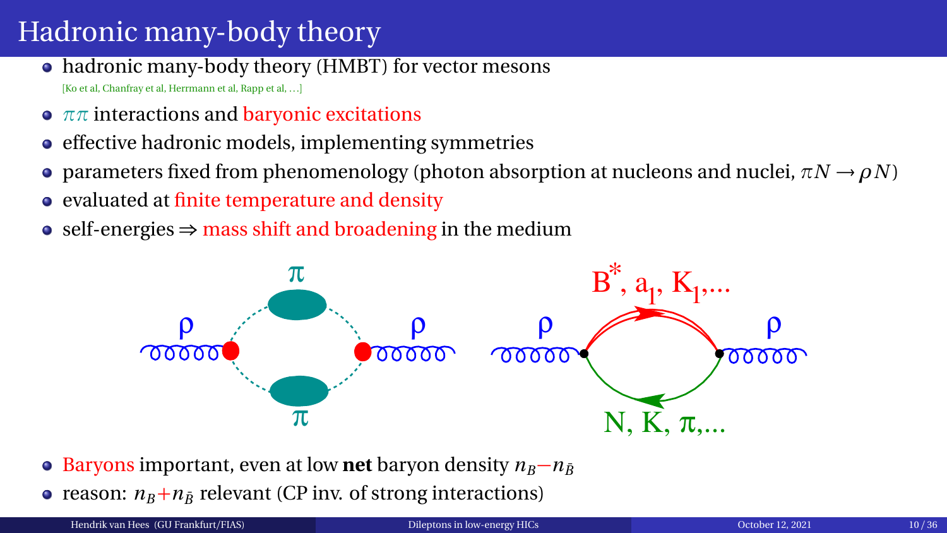# Hadronic many-body theory

- hadronic many-body theory (HMBT) for vector mesons [Ko et al, Chanfray et al, Herrmann et al, Rapp et al, ...]
- *ππ* interactions and baryonic excitations
- $\bullet$ effective hadronic models, implementing symmetries
- **•** parameters fixed from phenomenology (photon absorption at nucleons and nuclei,  $\pi N \rightarrow \rho N$ )
- evaluated at finite temperature and density
- self-energies  $\Rightarrow$  mass shift and broadening in the medium



- Baryons important, even at low **net** baryon density  $n_B n_{\bar{B}}$
- reason:  $n_B + n_{\bar{B}}$  relevant (CP inv. of strong interactions)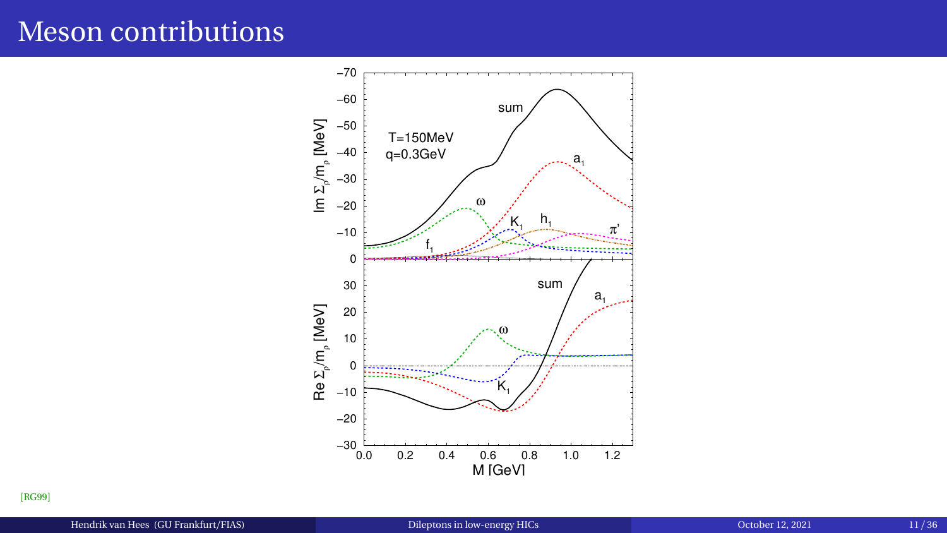#### Meson contributions



[[RG99](#page-39-1)]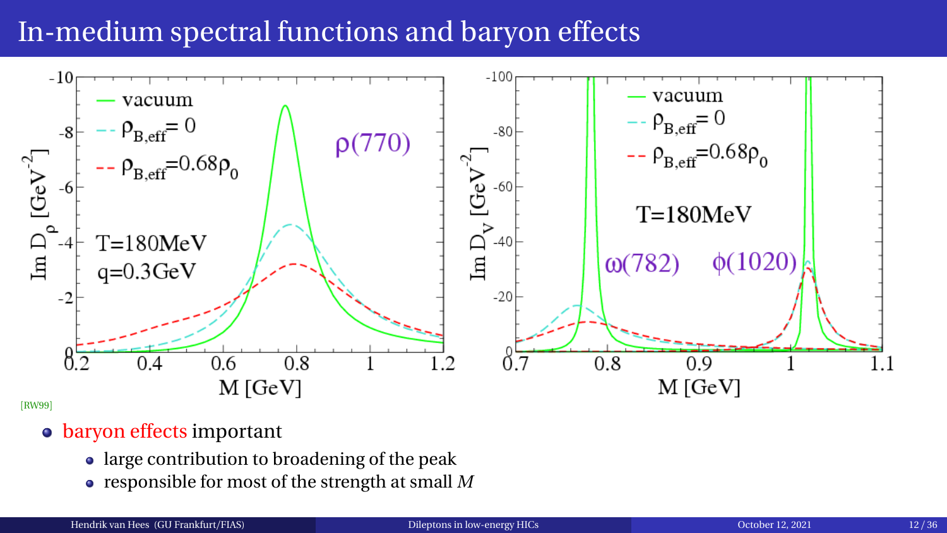## In-medium spectral functions and baryon effects



[[RW99](#page-39-2)]

#### • baryon effects important

- large contribution to broadening of the peak
- responsible for most of the strength at small *M*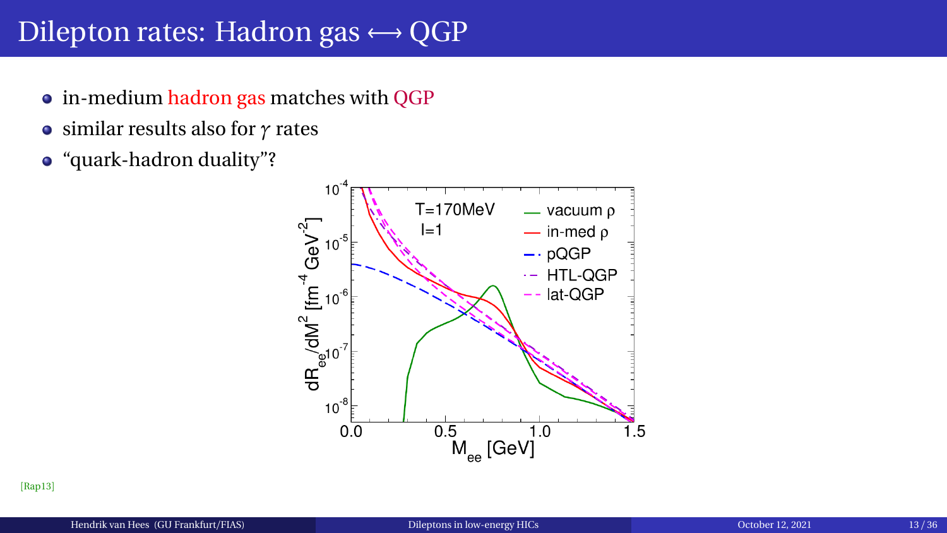#### Dilepton rates: Hadron gas  $\leftrightarrow$  QGP

- in-medium hadron gas matches with QGP
- similar results also for *γ* rates
- "quark-hadron duality"?



[[Rap13](#page-39-3)]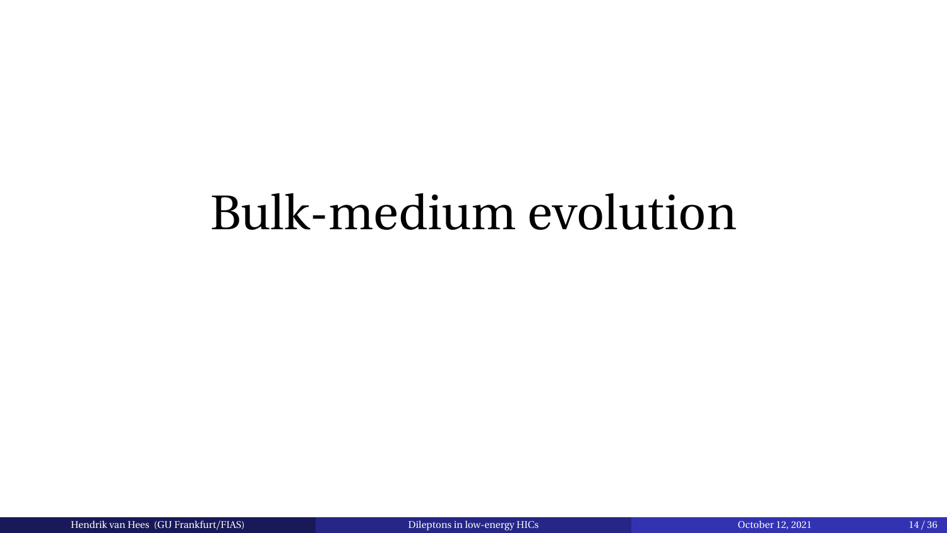# <span id="page-13-0"></span>Bulk-medium evolution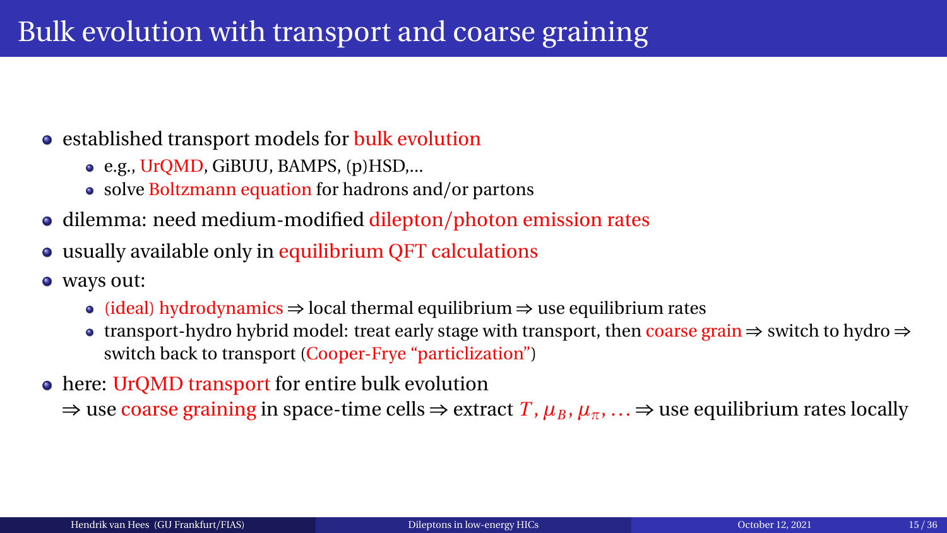#### • established transport models for bulk evolution

- e.g., UrQMD, GiBUU, BAMPS, (p)HSD,...
- solve Boltzmann equation for hadrons and/or partons
- dilemma: need medium-modified dilepton/photon emission rates
- usually available only in equilibrium QFT calculations
- ways out:
	- (ideal) hydrodynamics  $\Rightarrow$  local thermal equilibrium  $\Rightarrow$  use equilibrium rates
	- transport-hydro hybrid model: treat early stage with transport, then coarse grain ⇒ switch to hydro ⇒ switch back to transport (Cooper-Frye "particlization")
- here: UrQMD transport for entire bulk evolution

 $\Rightarrow$  use coarse graining in space-time cells  $\Rightarrow$  extract  $T$ ,  $\mu_B$ ,  $\mu_{\pi}$ , ...  $\Rightarrow$  use equilibrium rates locally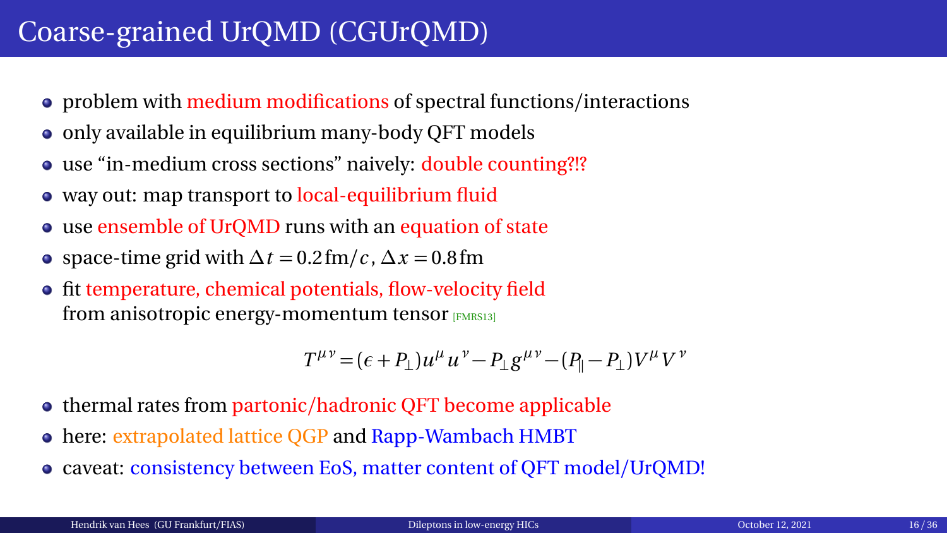## <span id="page-15-0"></span>Coarse-grained UrQMD (CGUrQMD)

- problem with medium modifications of spectral functions/interactions
- only available in equilibrium many-body QFT models
- use "in-medium cross sections" naively: double counting?!?
- way out: map transport to local-equilibrium fluid
- use ensemble of UrQMD runs with an equation of state
- $\bullet$  space-time grid with  $\Delta t = 0.2$  fm/*c*,  $\Delta x = 0.8$  fm
- fit temperature, chemical potentials, flow-velocity field from anisotropic energy-momentum tensor [[FMRS13](#page-38-1)]

$$
T^{\mu\nu}\!=\!(\epsilon+P_{\perp})u^{\mu}u^{\nu}-P_{\perp}g^{\mu\nu}\!-\!(P_{\parallel}-P_{\perp})V^{\mu}V^{\nu}
$$

- thermal rates from partonic/hadronic QFT become applicable
- $\bullet$ here: extrapolated lattice QGP and Rapp-Wambach HMBT
- $\bullet$ caveat: consistency between EoS, matter content of QFT model/UrQMD!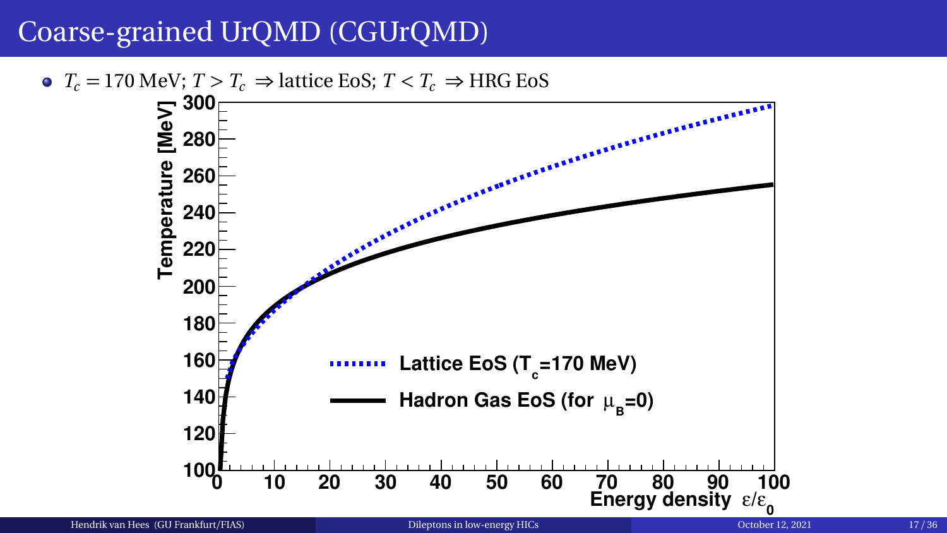### Coarse-grained UrQMD (CGUrQMD)

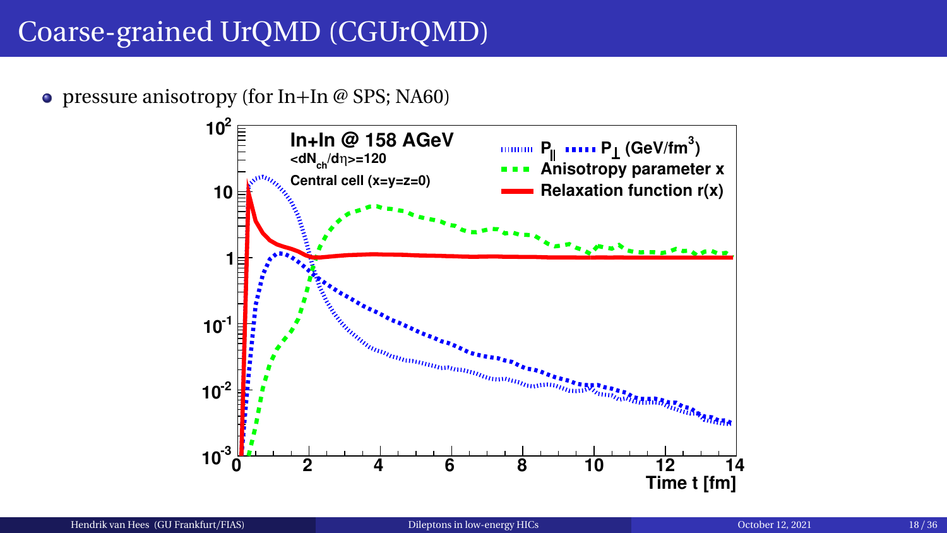## Coarse-grained UrQMD (CGUrQMD)

• pressure anisotropy (for  $In+In \& SPS$ ; NA60)

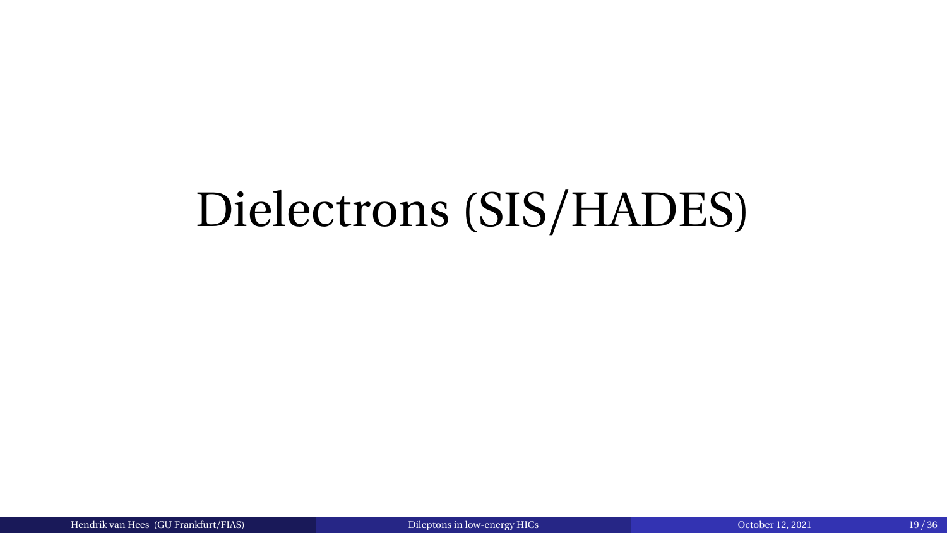# <span id="page-18-0"></span>Dielectrons (SIS/HADES)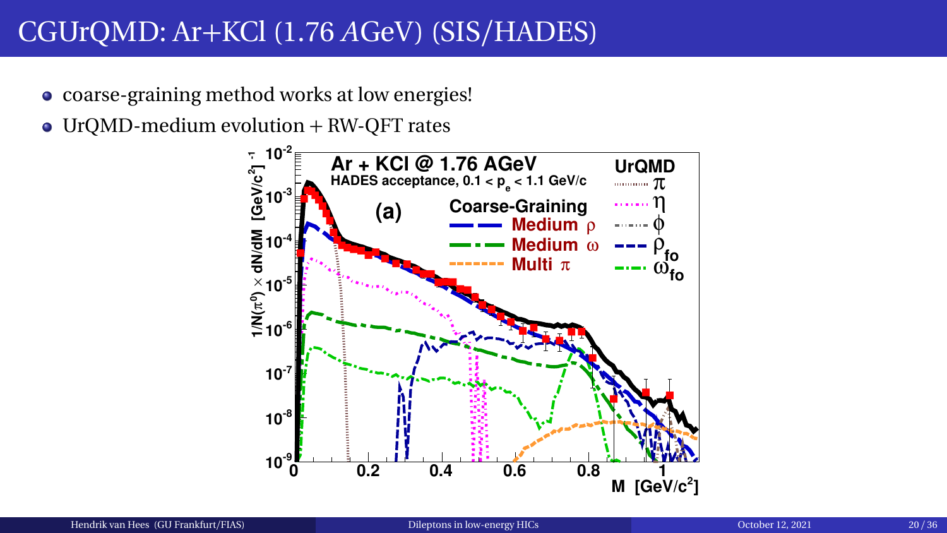- coarse-graining method works at low energies!
- UrQMD-medium evolution + RW-QFT rates

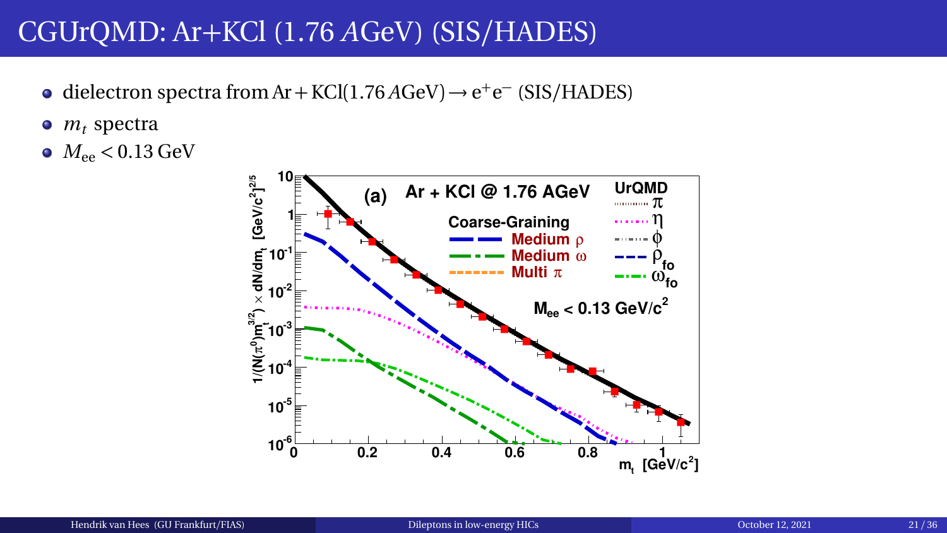- dielectron spectra from Ar + KCl(1.76  $A$ GeV)  $\rightarrow$  e<sup>+</sup>e<sup>-</sup> (SIS/HADES)
- $\bullet$   $m_t$  spectra
- $M_{ee}$  < 0.13 GeV

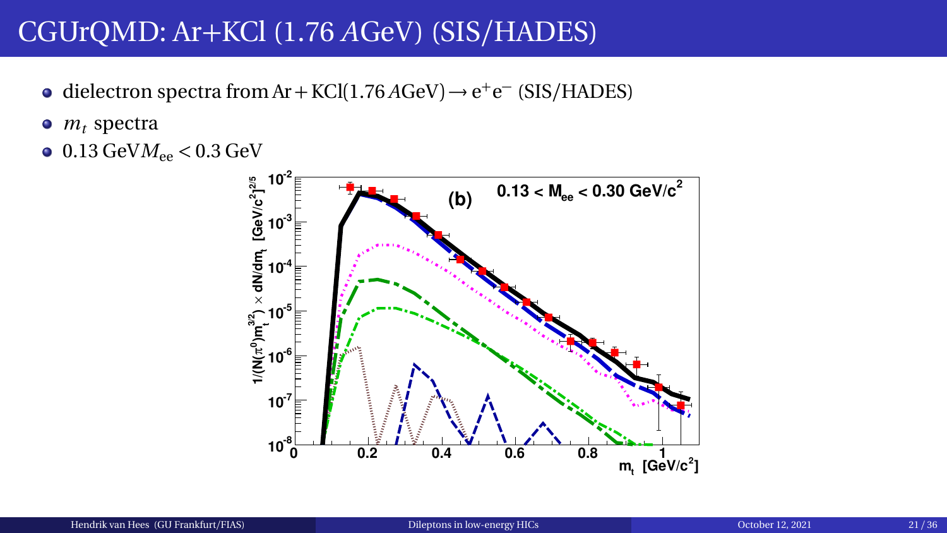- dielectron spectra from Ar + KCl(1.76  $A$ GeV)  $\rightarrow$  e<sup>+</sup>e<sup>-</sup> (SIS/HADES)
- $\bullet$   $m_t$  spectra
- $\bullet$  0.13 GeV $M_{ee}$  < 0.3 GeV

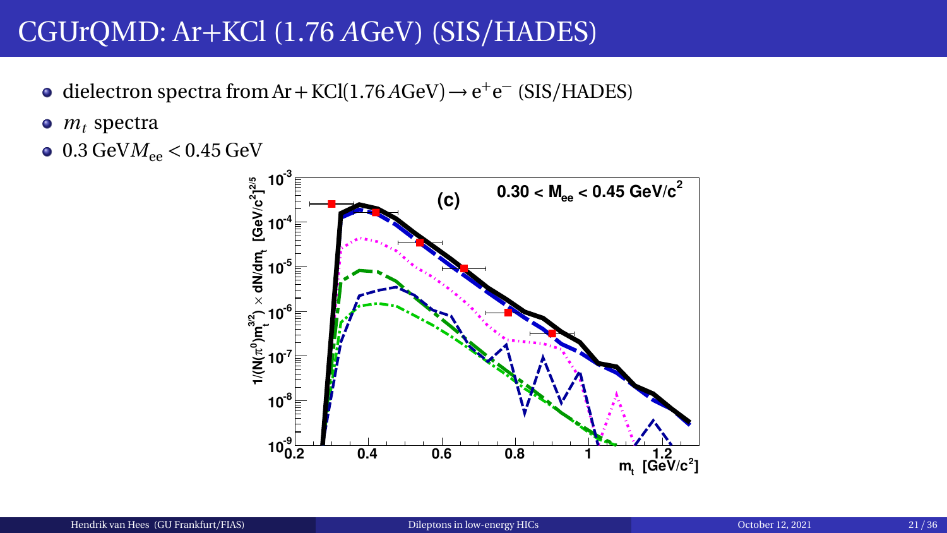- dielectron spectra from Ar + KCl(1.76 *A*GeV) → e<sup>+</sup>e<sup>-</sup> (SIS/HADES)
- $\bullet$   $m_t$  spectra
- $\bullet$  0.3 GeV $M_{ee}$  < 0.45 GeV

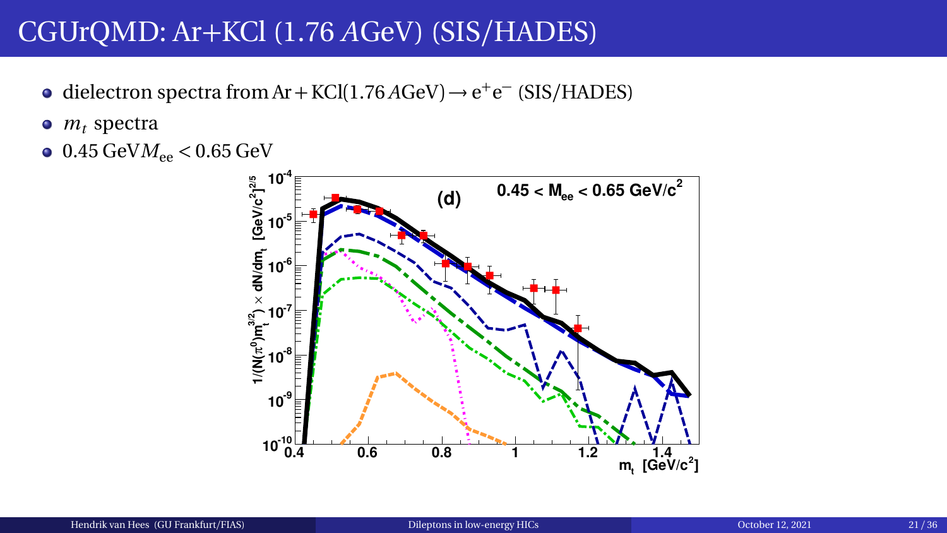- dielectron spectra from Ar + KCl(1.76 *A*GeV) → e<sup>+</sup>e<sup>-</sup> (SIS/HADES)
- $\bullet$   $m_t$  spectra
- $0.45 \text{ GeV}$ *M*<sub>ee</sub>  $< 0.65 \text{ GeV}$

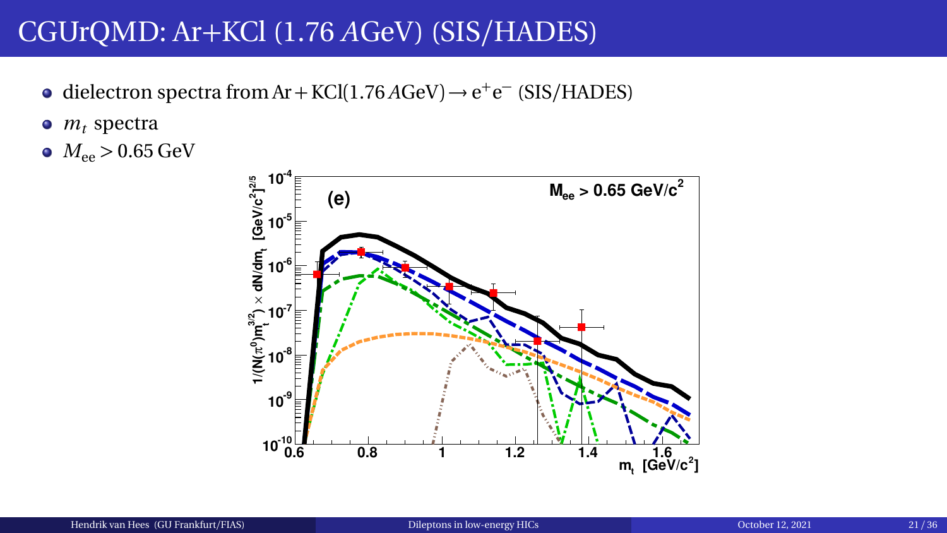- dielectron spectra from Ar + KCl(1.76 *A*GeV) → e<sup>+</sup>e<sup>-</sup> (SIS/HADES)
- $\bullet$   $m_t$  spectra
- $M_{ee}$  > 0.65 GeV

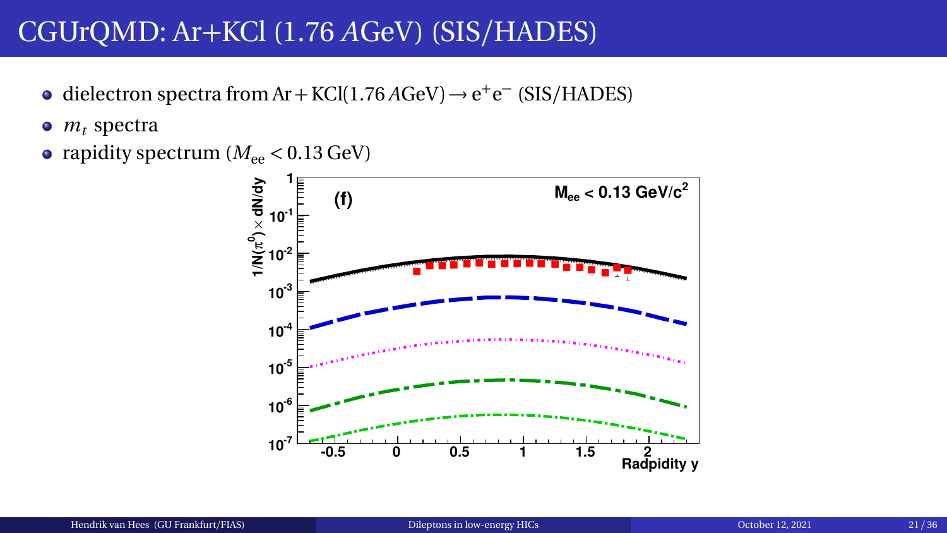- dielectron spectra from Ar + KCl(1.76  $A$ GeV)  $\rightarrow$  e<sup>+</sup>e<sup>-</sup> (SIS/HADES)
- $m_t$  spectra
- rapidity spectrum  $(M_{ee} < 0.13 \text{ GeV})$

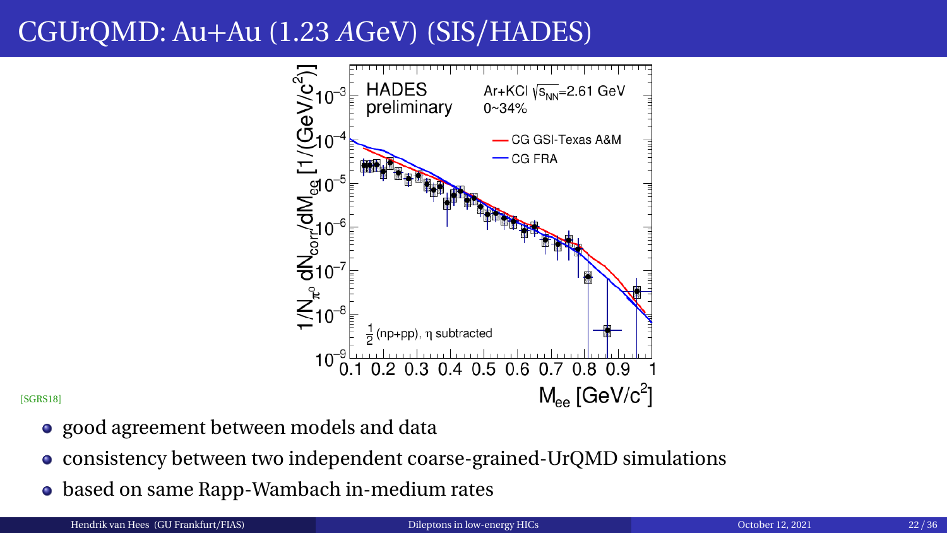# CGUrQMD: Au+Au (1.23 *A*GeV) (SIS/HADES)



[[SGRS18](#page-40-2)]

- good agreement between models and data
- consistency between two independent coarse-grained-UrQMD simulations
- based on same Rapp-Wambach in-medium rates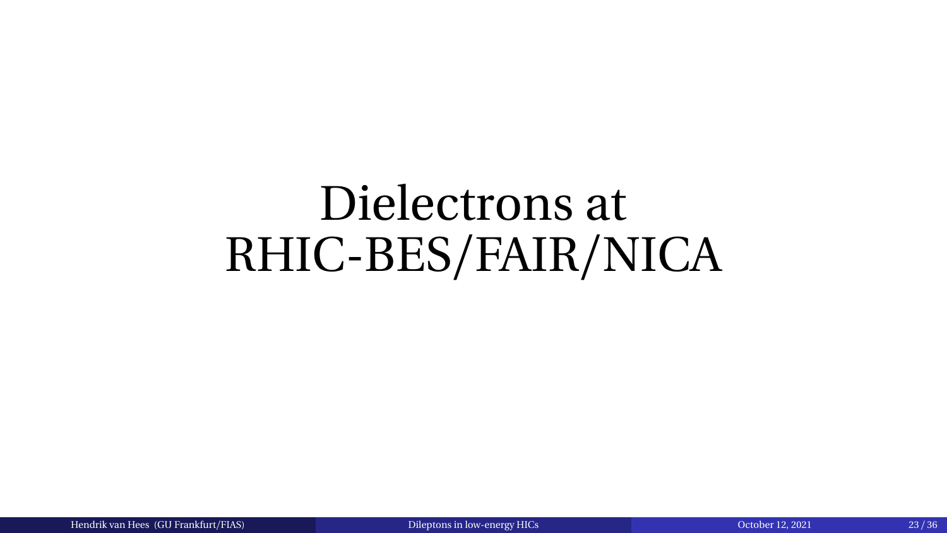# <span id="page-27-0"></span>Dielectrons at RHIC-BES/FAIR/NICA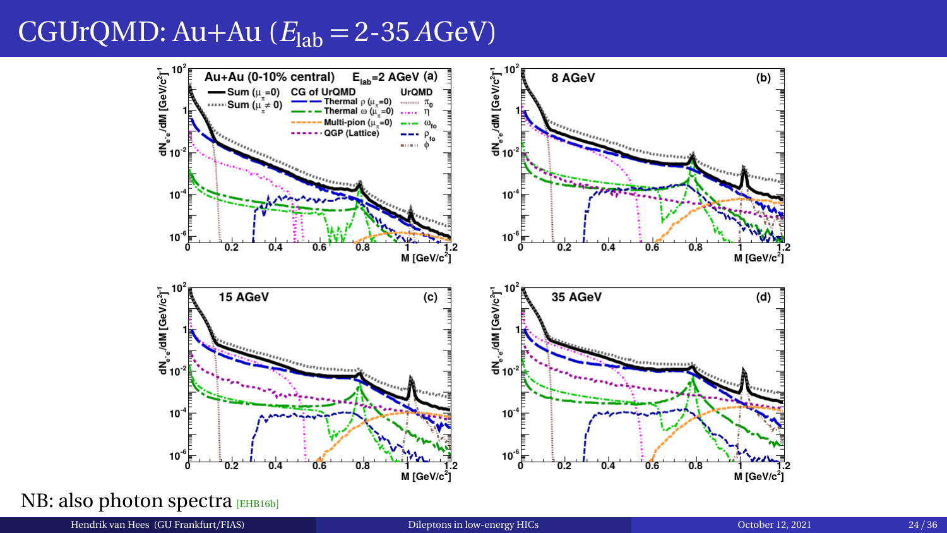#### CGUrQMD: Au+Au  $(E<sub>lab</sub> = 2-35 AGeV)$



NB: also photon spectra [[EHB16b](#page-37-1)]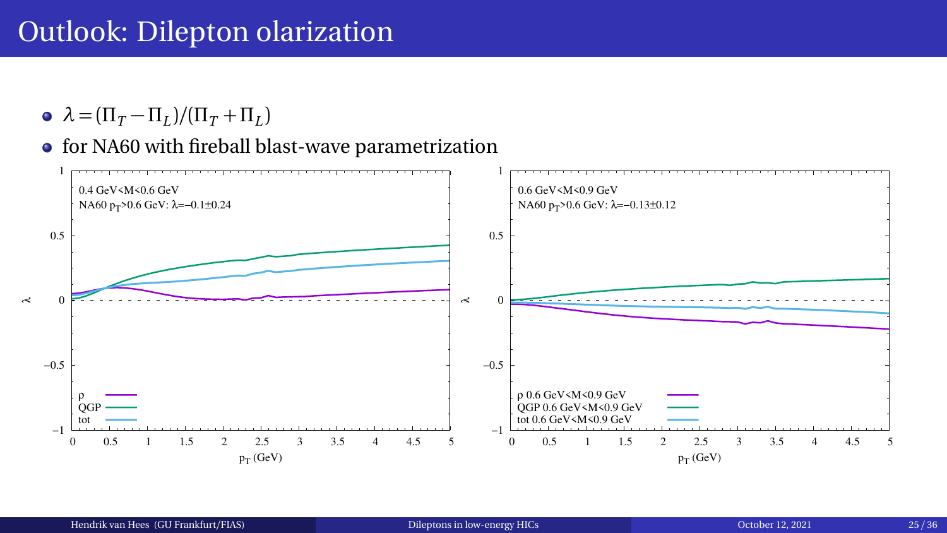#### Outlook: Dilepton olarization

- $\lambda = (\Pi_T \Pi_L)/(\Pi_T + \Pi_L)$
- for NA60 with fireball blast-wave parametrization

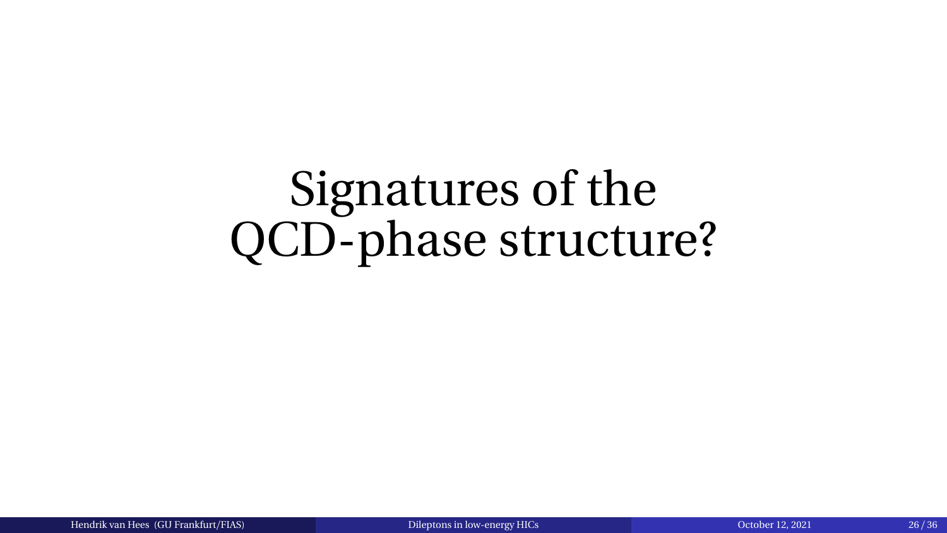# <span id="page-30-0"></span>Signatures of the QCD-phase structure?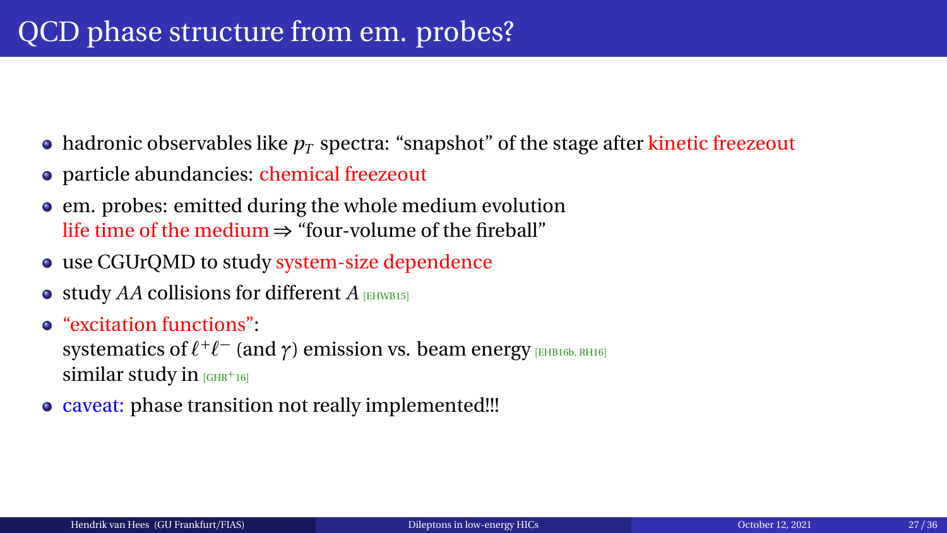- $\bullet$  hadronic observables like  $p_T$  spectra: "snapshot" of the stage after kinetic freezeout
- particle abundancies: chemical freezeout
- em. probes: emitted during the whole medium evolution life time of the medium  $\Rightarrow$  "four-volume of the fireball"
- use CGUrQMD to study system-size dependence
- $\bullet$  study *AA* collisions for different *A* [[EHWB15](#page-38-2)]
- "excitation functions":

systematics of  $\ell^+\ell^-$  (and  $\gamma$ ) emission vs. beam energy **[[EHB16b,](#page-37-1) [RH16](#page-39-4)**] similar study in  $_G$ HR<sup>+</sup>16]

• caveat: phase transition not really implemented!!!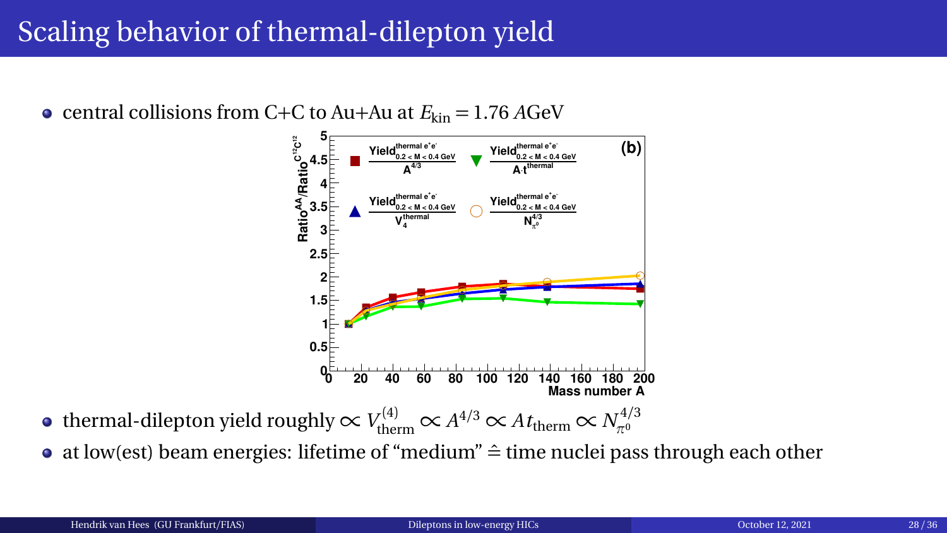## Scaling behavior of thermal-dilepton yield

• central collisions from C+C to Au+Au at  $E_{kin} = 1.76$  *A*GeV



- thermal-dilepton yield roughly  $\propto V_{\rm therm}^{(4)} \propto A^{4/3} \propto A t_{\rm therm} \propto N_{\pi^0}^{4/3}$
- at low(est) beam energies: lifetime of "medium"  $\hat{=}$  time nuclei pass through each other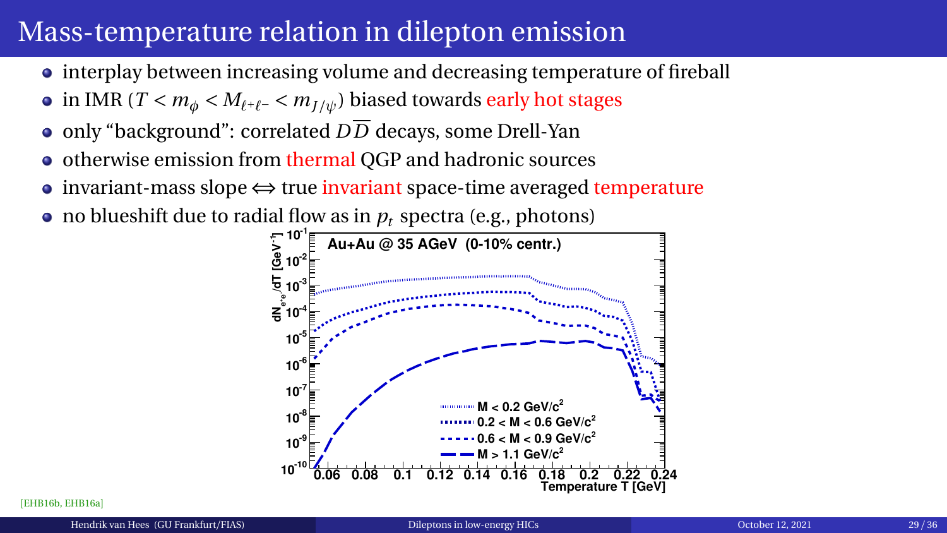## Mass-temperature relation in dilepton emission

- interplay between increasing volume and decreasing temperature of fireball
- in IMR ( $T < m_{\phi} < M_{\ell^+\ell^-} < m_{I/\psi}$ ) biased towards early hot stages
- only "background": correlated  $D\overline{D}$  decays, some Drell-Yan
- otherwise emission from thermal QGP and hadronic sources  $\bullet$
- invariant-mass slope ⇔ true invariant space-time averaged temperature
- no blueshift due to radial flow as in  $p_t$  spectra (e.g., photons)



[[EHB16b,](#page-37-1) [EHB16a](#page-37-2)]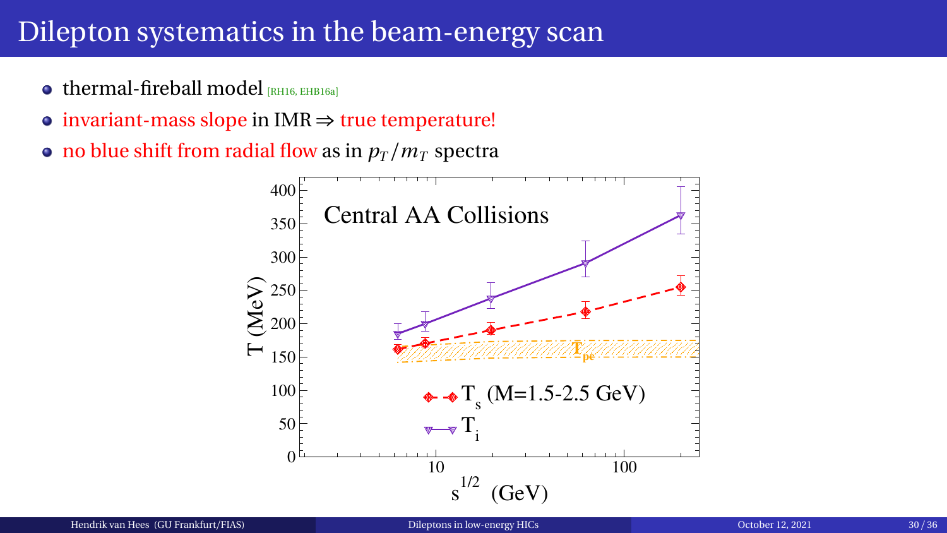#### Dilepton systematics in the beam-energy scan

- $\bullet$  thermal-fireball model  $R$ H16, [EHB16a](#page-37-2)l
- invariant-mass slope in IMR  $\Rightarrow$  true temperature!
- no blue shift from radial flow as in  $p_T/m_T$  spectra

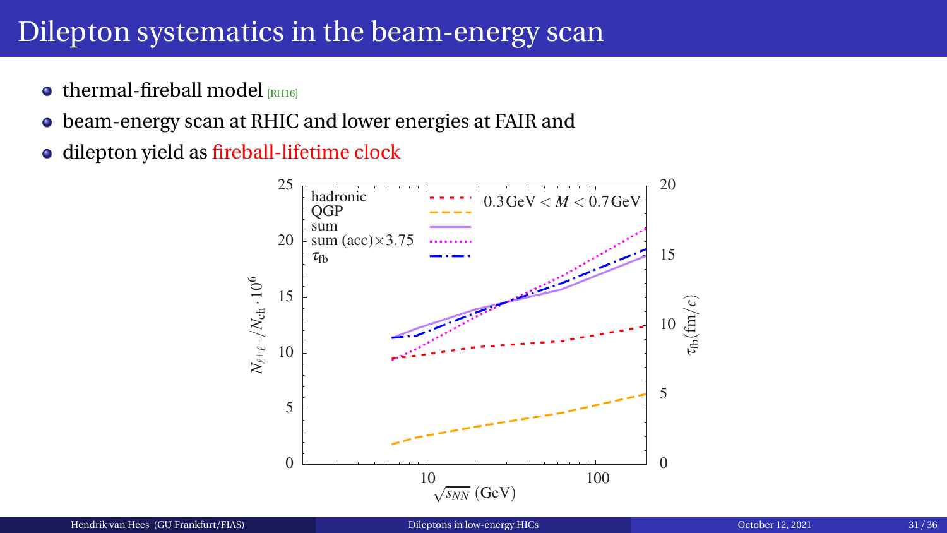#### Dilepton systematics in the beam-energy scan

- $\bullet$  thermal-fireball model  $[RH16]$  $[RH16]$  $[RH16]$
- beam-energy scan at RHIC and lower energies at FAIR and
- dilepton yield as fireball-lifetime clock

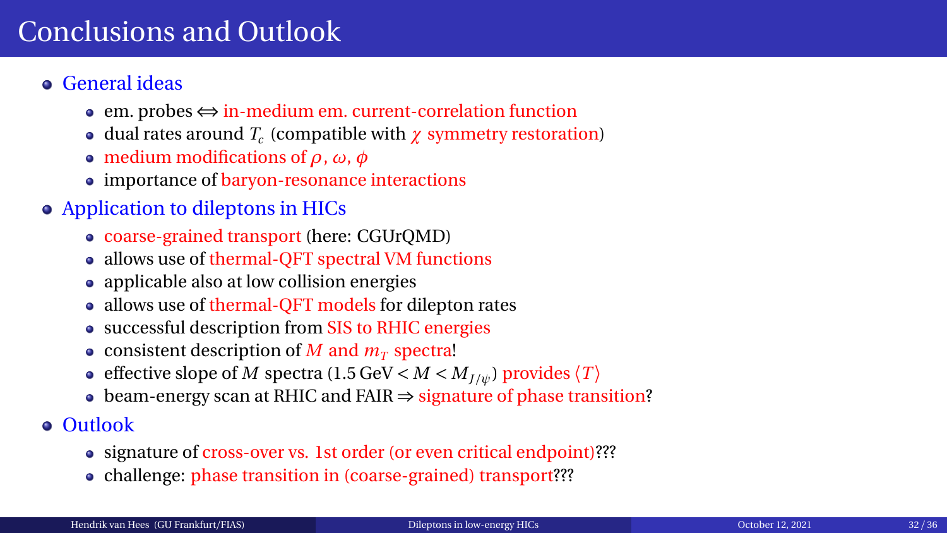## <span id="page-36-0"></span>Conclusions and Outlook

- General ideas
	- em. probes ⇔ in-medium em. current-correlation function
	- dual rates around *T<sup>c</sup>* (compatible with *χ* symmetry restoration)
	- medium modifications of *ρ*, *ω*, *φ*
	- importance of baryon-resonance interactions
- Application to dileptons in HICs
	- coarse-grained transport (here: CGUrQMD)
	- allows use of thermal-QFT spectral VM functions
	- applicable also at low collision energies
	- allows use of thermal-QFT models for dilepton rates
	- successful description from SIS to RHIC energies
	- consistent description of *M* and  $m<sub>T</sub>$  spectra!
	- effective slope of *M* spectra (1.5 GeV  $\langle M \rangle$  / $\langle M \rangle$ ) provides  $\langle T \rangle$
	- beam-energy scan at RHIC and FAIR ⇒ signature of phase transition?
- Outlook
	- signature of cross-over vs. 1st order (or even critical endpoint)???
	- challenge: phase transition in (coarse-grained) transport???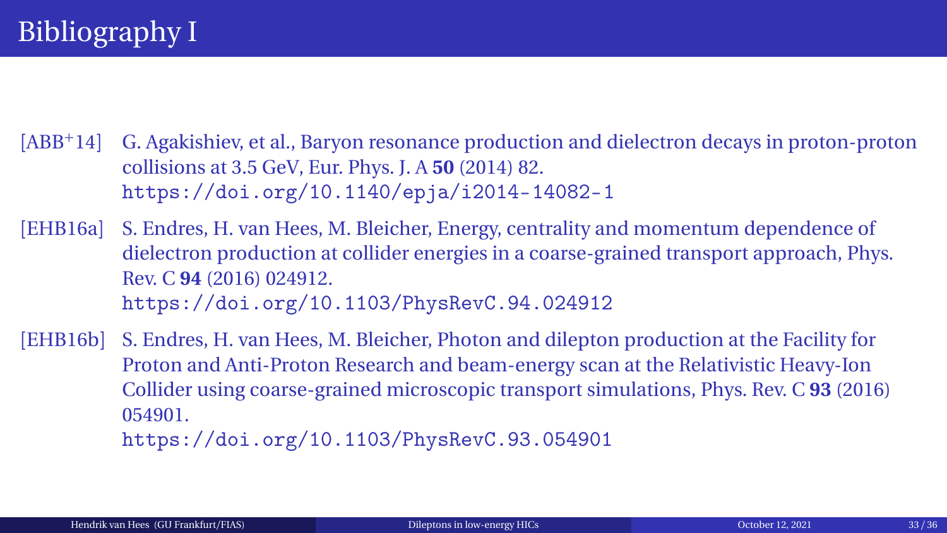- <span id="page-37-0"></span>[ABB<sup>+</sup>14] G. Agakishiev, et al., Baryon resonance production and dielectron decays in proton-proton collisions at 3.5 GeV, Eur. Phys. J. A **50** (2014) 82. <https://doi.org/10.1140/epja/i2014-14082-1>
- <span id="page-37-2"></span>[EHB16a] S. Endres, H. van Hees, M. Bleicher, Energy, centrality and momentum dependence of dielectron production at collider energies in a coarse-grained transport approach, Phys. Rev. C **94** (2016) 024912. <https://doi.org/10.1103/PhysRevC.94.024912>
- <span id="page-37-1"></span>[EHB16b] S. Endres, H. van Hees, M. Bleicher, Photon and dilepton production at the Facility for Proton and Anti-Proton Research and beam-energy scan at the Relativistic Heavy-Ion Collider using coarse-grained microscopic transport simulations, Phys. Rev. C **93** (2016) 054901. <https://doi.org/10.1103/PhysRevC.93.054901>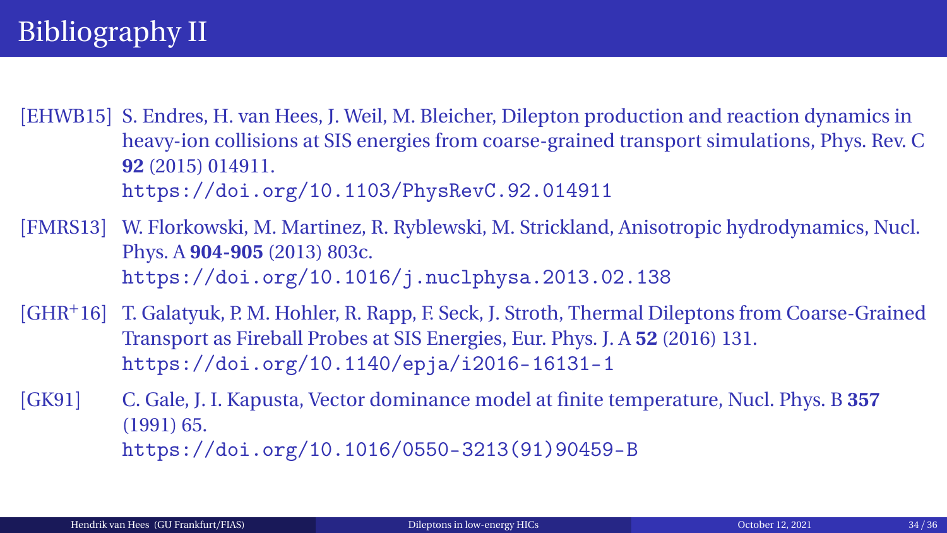<span id="page-38-2"></span>[EHWB15] S. Endres, H. van Hees, J. Weil, M. Bleicher, Dilepton production and reaction dynamics in heavy-ion collisions at SIS energies from coarse-grained transport simulations, Phys. Rev. C **92** (2015) 014911. <https://doi.org/10.1103/PhysRevC.92.014911>

<span id="page-38-1"></span>[FMRS13] W. Florkowski, M. Martinez, R. Ryblewski, M. Strickland, Anisotropic hydrodynamics, Nucl. Phys. A **904-905** (2013) 803c. <https://doi.org/10.1016/j.nuclphysa.2013.02.138>

<span id="page-38-3"></span>[GHR<sup>+</sup>16] T. Galatyuk, P. M. Hohler, R. Rapp, F. Seck, J. Stroth, Thermal Dileptons from Coarse-Grained Transport as Fireball Probes at SIS Energies, Eur. Phys. J. A **52** (2016) 131. <https://doi.org/10.1140/epja/i2016-16131-1>

<span id="page-38-0"></span>[GK91] C. Gale, J. I. Kapusta, Vector dominance model at finite temperature, Nucl. Phys. B **357** (1991) 65. [https://doi.org/10.1016/0550-3213\(91\)90459-B](https://doi.org/10.1016/0550-3213(91)90459-B)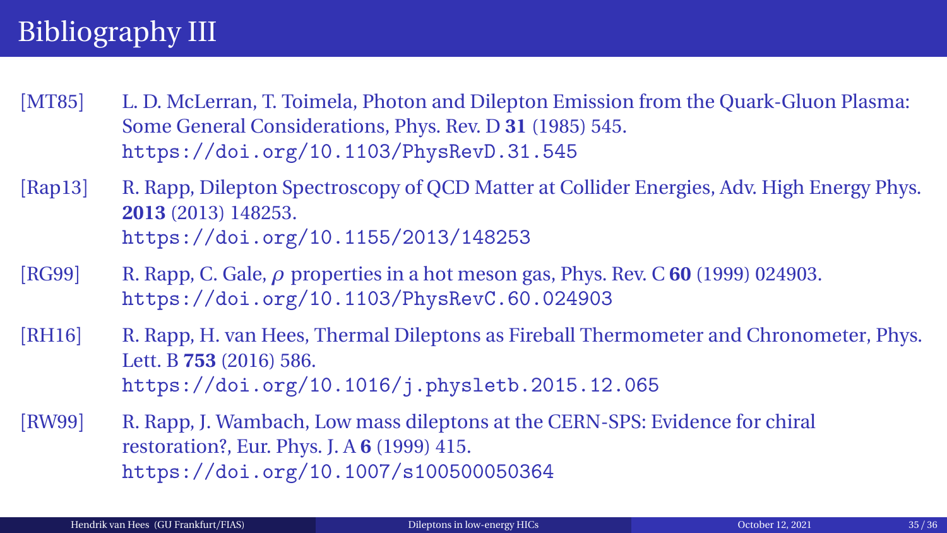# Bibliography III

- <span id="page-39-0"></span>[MT85] L. D. McLerran, T. Toimela, Photon and Dilepton Emission from the Quark-Gluon Plasma: Some General Considerations, Phys. Rev. D **31** (1985) 545. <https://doi.org/10.1103/PhysRevD.31.545>
- <span id="page-39-3"></span>[Rap13] R. Rapp, Dilepton Spectroscopy of QCD Matter at Collider Energies, Adv. High Energy Phys. **2013** (2013) 148253. <https://doi.org/10.1155/2013/148253>
- <span id="page-39-1"></span>[RG99] R. Rapp, C. Gale, *ρ* properties in a hot meson gas, Phys. Rev. C **60** (1999) 024903. <https://doi.org/10.1103/PhysRevC.60.024903>
- <span id="page-39-4"></span>[RH16] R. Rapp, H. van Hees, Thermal Dileptons as Fireball Thermometer and Chronometer, Phys. Lett. B **753** (2016) 586. <https://doi.org/10.1016/j.physletb.2015.12.065>
- <span id="page-39-2"></span>[RW99] R. Rapp, J. Wambach, Low mass dileptons at the CERN-SPS: Evidence for chiral restoration?, Eur. Phys. J. A **6** (1999) 415. <https://doi.org/10.1007/s100500050364>